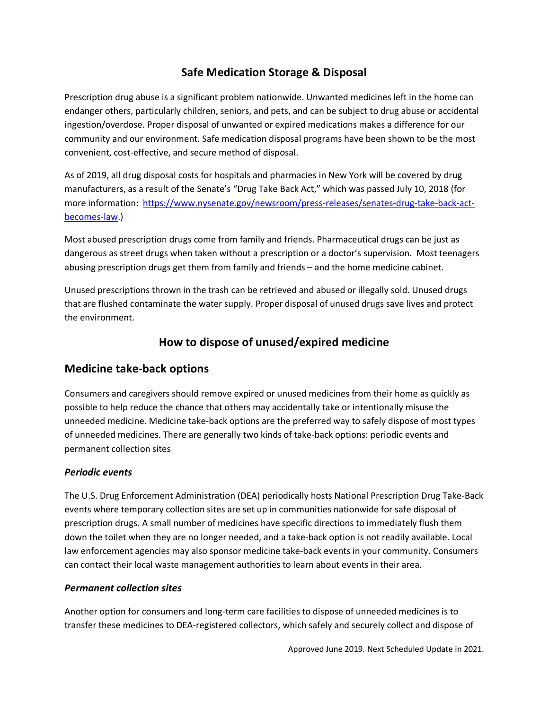# **Safe Medication Storage & Disposal**

Prescription drug abuse is a significant problem nationwide. Unwanted medicines left in the home can endanger others, particularly children, seniors, and pets, and can be subject to drug abuse or accidental ingestion/overdose. Proper disposal of unwanted or expired medications makes a difference for our community and our environment. Safe medication disposal programs have been shown to be the most convenient, cost-effective, and secure method of disposal.

As of 2019, all drug disposal costs for hospitals and pharmacies in New York will be covered by drug manufacturers, as a result of the Senate's "Drug Take Back Act," which was passed July 10, 2018 (for more information: [https://www.nysenate.gov/newsroom/press-releases/senates-drug-take-back-act](https://www.nysenate.gov/newsroom/press-releases/senates-drug-take-back-act-becomes-law)[becomes-law.](https://www.nysenate.gov/newsroom/press-releases/senates-drug-take-back-act-becomes-law))

Most abused prescription drugs come from family and friends. Pharmaceutical drugs can be just as dangerous as street drugs when taken without a prescription or a doctor's supervision. Most teenagers abusing prescription drugs get them from family and friends – and the home medicine cabinet.

Unused prescriptions thrown in the trash can be retrieved and abused or illegally sold. Unused drugs that are flushed contaminate the water supply. Proper disposal of unused drugs save lives and protect the environment.

### **How to dispose of unused/expired medicine**

### **Medicine take-back options**

Consumers and caregivers should remove expired or unused medicines from their home as quickly as possible to help reduce the chance that others may accidentally take or intentionally misuse the unneeded medicine. Medicine take-back options are the preferred way to safely dispose of most types of unneeded medicines. There are generally two kinds of take-back options: periodic events and permanent collection sites

### *Periodic events*

The U.S. Drug Enforcement Administration (DEA) periodically hosts National Prescription Drug Take-Back events where temporary collection sites are set up in communities nationwide for safe disposal of prescription drugs. A small number of medicines have specific directions to immediately flush them down the toilet when they are no longer needed, and a take-back option is not readily available. Local law enforcement agencies may also sponsor medicine take-back events in your community. Consumers can contact their local waste management authorities to learn about events in their area.

#### *Permanent collection sites*

Another option for consumers and long-term care facilities to dispose of unneeded medicines is to transfer these medicines to DEA-registered collectors, which safely and securely collect and dispose of